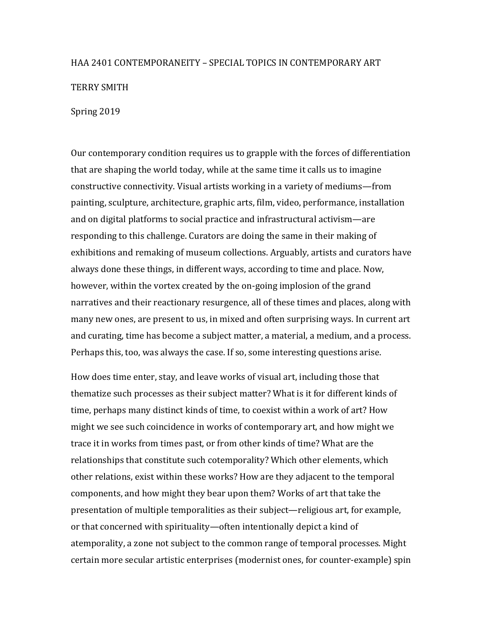### HAA 2401 CONTEMPORANEITY – SPECIAL TOPICS IN CONTEMPORARY ART

**TERRY SMITH** 

Spring 2019

Our contemporary condition requires us to grapple with the forces of differentiation that are shaping the world today, while at the same time it calls us to imagine constructive connectivity. Visual artists working in a variety of mediums—from painting, sculpture, architecture, graphic arts, film, video, performance, installation and on digital platforms to social practice and infrastructural activism—are responding to this challenge. Curators are doing the same in their making of exhibitions and remaking of museum collections. Arguably, artists and curators have always done these things, in different ways, according to time and place. Now, however, within the vortex created by the on-going implosion of the grand narratives and their reactionary resurgence, all of these times and places, along with many new ones, are present to us, in mixed and often surprising ways. In current art and curating, time has become a subject matter, a material, a medium, and a process. Perhaps this, too, was always the case. If so, some interesting questions arise.

How does time enter, stay, and leave works of visual art, including those that thematize such processes as their subject matter? What is it for different kinds of time, perhaps many distinct kinds of time, to coexist within a work of art? How might we see such coincidence in works of contemporary art, and how might we trace it in works from times past, or from other kinds of time? What are the relationships that constitute such cotemporality? Which other elements, which other relations, exist within these works? How are they adjacent to the temporal components, and how might they bear upon them? Works of art that take the presentation of multiple temporalities as their subject—religious art, for example, or that concerned with spirituality—often intentionally depict a kind of atemporality, a zone not subject to the common range of temporal processes. Might certain more secular artistic enterprises (modernist ones, for counter-example) spin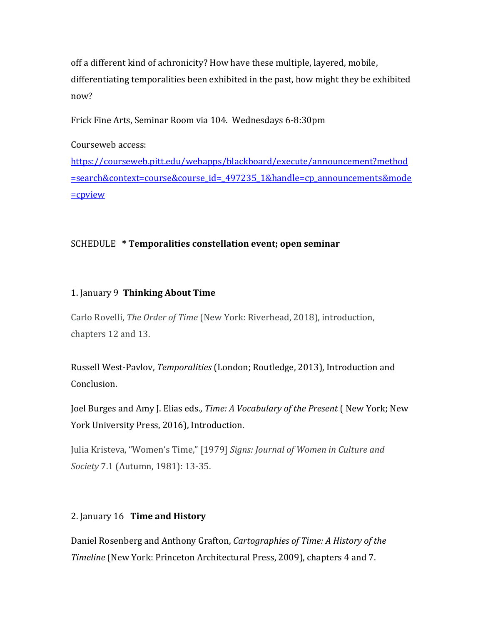off a different kind of achronicity? How have these multiple, layered, mobile, differentiating temporalities been exhibited in the past, how might they be exhibited now?

Frick Fine Arts, Seminar Room via 104. Wednesdays 6-8:30pm

Courseweb access: 

https://courseweb.pitt.edu/webapps/blackboard/execute/announcement?method =search&context=course&course\_id=\_497235\_1&handle=cp\_announcements&mode =cpview

# SCHEDULE **\*** Temporalities constellation event; open seminar

# 1. January 9 **Thinking About Time**

Carlo Rovelli, *The Order of Time* (New York: Riverhead, 2018), introduction, chapters 12 and 13.

Russell West-Pavlov, Temporalities (London; Routledge, 2013), Introduction and Conclusion.

Joel Burges and Amy J. Elias eds., *Time: A Vocabulary of the Present* (New York; New York University Press, 2016), Introduction.

Julia Kristeva, "Women's Time," [1979] *Signs: Journal of Women in Culture and Society* 7.1 (Autumn, 1981): 13-35.

# 2. January 16 **Time and History**

Daniel Rosenberg and Anthony Grafton, *Cartographies of Time: A History of the Timeline* (New York: Princeton Architectural Press, 2009), chapters 4 and 7.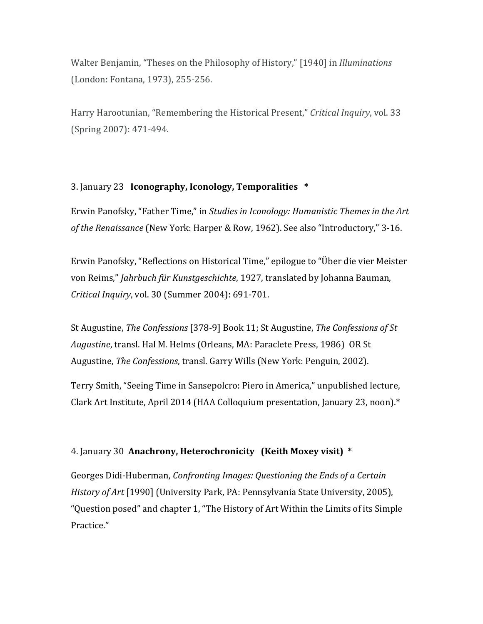Walter Benjamin, "Theses on the Philosophy of History," [1940] in *Illuminations* (London: Fontana, 1973), 255-256.

Harry Harootunian, "Remembering the Historical Present," Critical Inquiry, vol. 33 (Spring 2007): 471-494.

#### 3. January 23 **Iconography, Iconology, Temporalities** \*

Erwin Panofsky, "Father Time," in *Studies in Iconology: Humanistic Themes in the Art* of the Renaissance (New York: Harper & Row, 1962). See also "Introductory," 3-16.

Erwin Panofsky, "Reflections on Historical Time," epilogue to "Über die vier Meister von Reims," *Jahrbuch für Kunstgeschichte*, 1927, translated by Johanna Bauman, *Critical Inquiry*, vol. 30 (Summer 2004): 691-701.

St Augustine, *The Confessions* [378-9] Book 11; St Augustine, *The Confessions of St Augustine*, transl. Hal M. Helms (Orleans, MA: Paraclete Press, 1986) OR St Augustine, *The Confessions*, transl. Garry Wills (New York: Penguin, 2002).

Terry Smith, "Seeing Time in Sansepolcro: Piero in America," unpublished lecture, Clark Art Institute, April 2014 (HAA Colloquium presentation, January 23, noon). $*$ 

# 4. January 30 Anachrony, Heterochronicity (Keith Moxey visit) \*

Georges Didi-Huberman, *Confronting Images: Questioning the Ends of a Certain History of Art* [1990] (University Park, PA: Pennsylvania State University, 2005), "Question posed" and chapter 1, "The History of Art Within the Limits of its Simple Practice."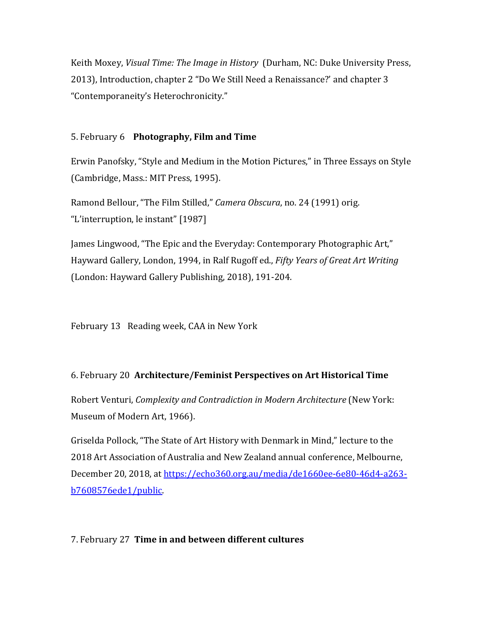Keith Moxey, *Visual Time: The Image in History* (Durham, NC: Duke University Press, 2013), Introduction, chapter 2 "Do We Still Need a Renaissance?' and chapter 3 "Contemporaneity's Heterochronicity."

#### 5. February 6 **Photography, Film and Time**

Erwin Panofsky, "Style and Medium in the Motion Pictures," in Three Essays on Style (Cambridge, Mass.: MIT Press, 1995).

Ramond Bellour, "The Film Stilled," *Camera Obscura*, no. 24 (1991) orig. "L'interruption, le instant" [1987]

James Lingwood, "The Epic and the Everyday: Contemporary Photographic Art," Hayward Gallery, London, 1994, in Ralf Rugoff ed., *Fifty Years of Great Art Writing* (London: Hayward Gallery Publishing, 2018), 191-204.

February 13 Reading week, CAA in New York

# 6. February 20 **Architecture/Feminist Perspectives on Art Historical Time**

Robert Venturi, *Complexity and Contradiction in Modern Architecture* (New York: Museum of Modern Art, 1966).

Griselda Pollock, "The State of Art History with Denmark in Mind," lecture to the 2018 Art Association of Australia and New Zealand annual conference, Melbourne, December 20, 2018, at https://echo360.org.au/media/de1660ee-6e80-46d4-a263b7608576ede1/public.

#### 7. February 27 **Time in and between different cultures**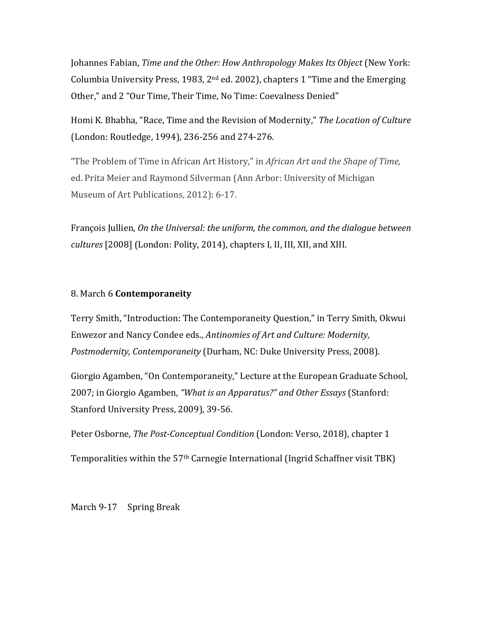Iohannes Fabian, *Time and the Other: How Anthropology Makes Its Object* (New York: Columbia University Press, 1983, 2<sup>nd</sup> ed. 2002), chapters 1 "Time and the Emerging Other," and 2 "Our Time, Their Time, No Time: Coevalness Denied"

Homi K. Bhabha, "Race, Time and the Revision of Modernity," The Location of Culture (London: Routledge, 1994), 236-256 and 274-276.

"The Problem of Time in African Art History," in *African Art and the Shape of Time,* ed. Prita Meier and Raymond Silverman (Ann Arbor: University of Michigan Museum of Art Publications, 2012): 6-17.

François Jullien, On the Universal: the uniform, the common, and the dialogue between *cultures* [2008] (London: Polity, 2014), chapters I, II, III, XII, and XIII.

#### 8. March 6 **Contemporaneity**

Terry Smith, "Introduction: The Contemporaneity Question," in Terry Smith, Okwui Enwezor and Nancy Condee eds., *Antinomies of Art and Culture: Modernity*, *Postmodernity, Contemporaneity* (Durham, NC: Duke University Press, 2008).

Giorgio Agamben, "On Contemporaneity," Lecture at the European Graduate School, 2007; in Giorgio Agamben, "What is an Apparatus?" and Other Essays (Stanford: Stanford University Press, 2009), 39-56.

Peter Osborne, *The Post-Conceptual Condition* (London: Verso, 2018), chapter 1

Temporalities within the 57<sup>th</sup> Carnegie International (Ingrid Schaffner visit TBK)

March 9-17 Spring Break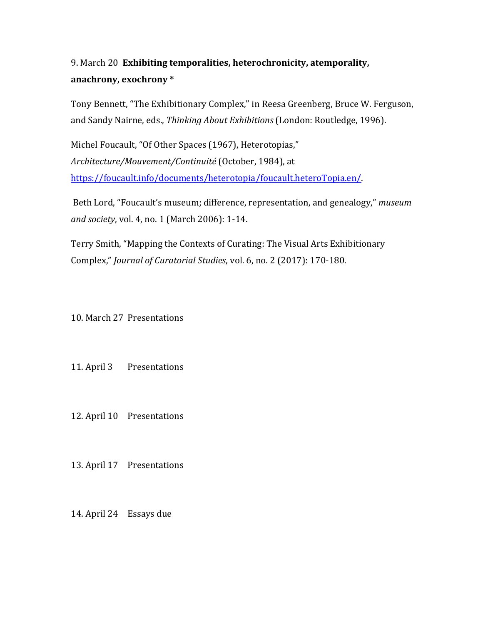# 9. March 20 Exhibiting temporalities, heterochronicity, atemporality, anachrony, exochrony  $*$

Tony Bennett, "The Exhibitionary Complex," in Reesa Greenberg, Bruce W. Ferguson, and Sandy Nairne, eds., *Thinking About Exhibitions* (London: Routledge, 1996).

Michel Foucault, "Of Other Spaces (1967), Heterotopias," *Architecture/Mouvement/Continuité* (October, 1984), at https://foucault.info/documents/heterotopia/foucault.heteroTopia.en/.

Beth Lord, "Foucault's museum; difference, representation, and genealogy," museum and society, vol. 4, no. 1 (March 2006): 1-14.

Terry Smith, "Mapping the Contexts of Curating: The Visual Arts Exhibitionary Complex," *Journal of Curatorial Studies*, vol. 6, no. 2 (2017): 170-180.

10. March 27 Presentations

11. April 3 Presentations

12. April 10 Presentations

13. April 17 Presentations

14. April 24 Essays due